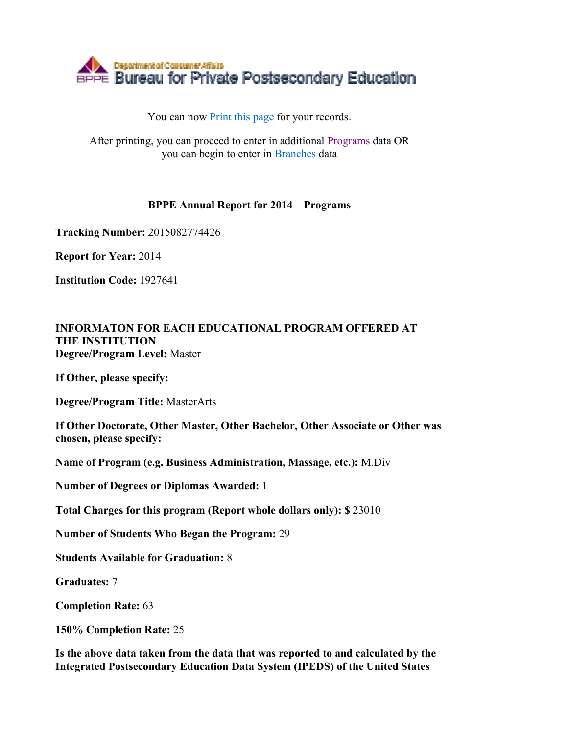

## You can now Print this page for your records.

After printing, you can proceed to enter in additional Programs data OR you can begin to enter in Branches data

## **BPPE Annual Report for 2014 – Programs**

**Tracking Number:** 2015082774426

**Report for Year:** 2014

**Institution Code:** 1927641

## **INFORMATON FOR EACH EDUCATIONAL PROGRAM OFFERED AT THE INSTITUTION Degree/Program Level:** Master

**If Other, please specify:** 

**Degree/Program Title:** MasterArts

**If Other Doctorate, Other Master, Other Bachelor, Other Associate or Other was chosen, please specify:** 

**Name of Program (e.g. Business Administration, Massage, etc.):** M.Div

**Number of Degrees or Diplomas Awarded:** 1

**Total Charges for this program (Report whole dollars only): \$** 23010

**Number of Students Who Began the Program:** 29

**Students Available for Graduation:** 8

**Graduates:** 7

**Completion Rate:** 63

**150% Completion Rate:** 25

**Is the above data taken from the data that was reported to and calculated by the Integrated Postsecondary Education Data System (IPEDS) of the United States**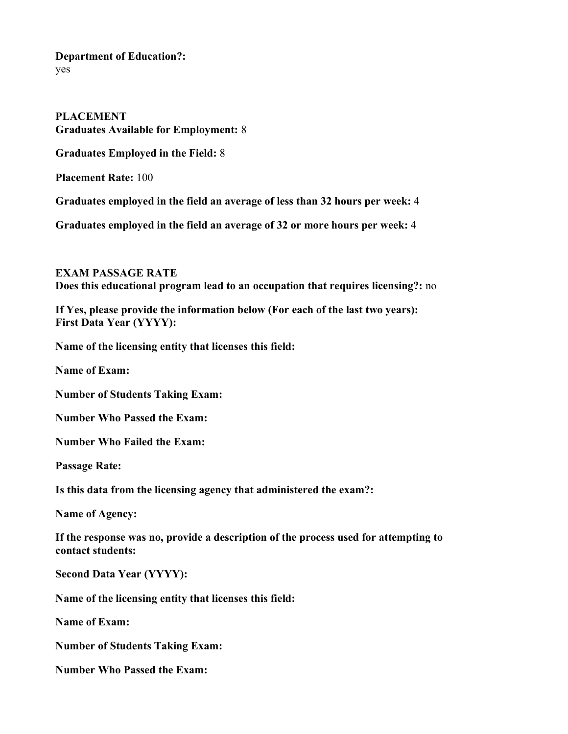**Department of Education?:** yes

**PLACEMENT Graduates Available for Employment:** 8 **Graduates Employed in the Field:** 8

**Placement Rate:** 100

**Graduates employed in the field an average of less than 32 hours per week:** 4

**Graduates employed in the field an average of 32 or more hours per week:** 4

**EXAM PASSAGE RATE Does this educational program lead to an occupation that requires licensing?:** no

**If Yes, please provide the information below (For each of the last two years): First Data Year (YYYY):** 

**Name of the licensing entity that licenses this field:** 

**Name of Exam:** 

**Number of Students Taking Exam:** 

**Number Who Passed the Exam:** 

**Number Who Failed the Exam:** 

**Passage Rate:** 

**Is this data from the licensing agency that administered the exam?:** 

**Name of Agency:** 

**If the response was no, provide a description of the process used for attempting to contact students:** 

**Second Data Year (YYYY):** 

**Name of the licensing entity that licenses this field:** 

**Name of Exam:** 

**Number of Students Taking Exam:** 

**Number Who Passed the Exam:**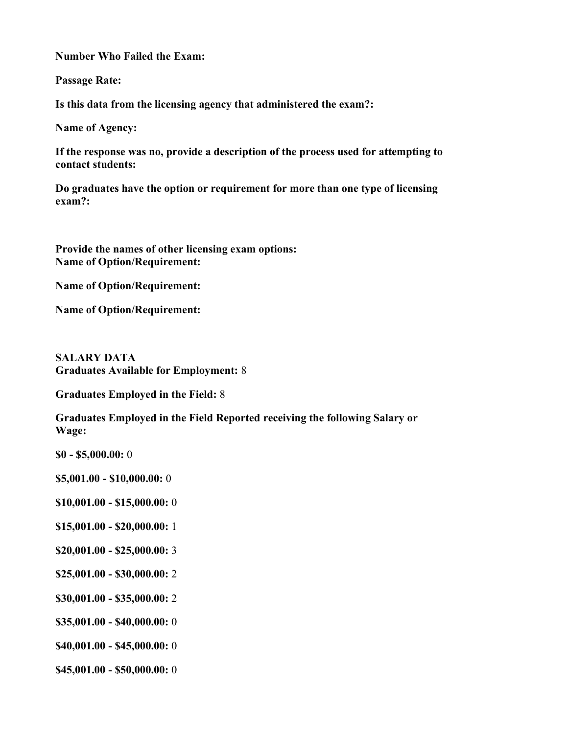**Number Who Failed the Exam:** 

**Passage Rate:** 

**Is this data from the licensing agency that administered the exam?:** 

**Name of Agency:** 

**If the response was no, provide a description of the process used for attempting to contact students:** 

**Do graduates have the option or requirement for more than one type of licensing exam?:** 

**Provide the names of other licensing exam options: Name of Option/Requirement:** 

**Name of Option/Requirement:** 

**Name of Option/Requirement:** 

**SALARY DATA Graduates Available for Employment:** 8

**Graduates Employed in the Field:** 8

**Graduates Employed in the Field Reported receiving the following Salary or Wage:**

- **\$0 \$5,000.00:** 0
- **\$5,001.00 \$10,000.00:** 0
- **\$10,001.00 \$15,000.00:** 0
- **\$15,001.00 \$20,000.00:** 1
- **\$20,001.00 \$25,000.00:** 3
- **\$25,001.00 \$30,000.00:** 2
- **\$30,001.00 \$35,000.00:** 2
- **\$35,001.00 \$40,000.00:** 0
- **\$40,001.00 \$45,000.00:** 0
- **\$45,001.00 \$50,000.00:** 0